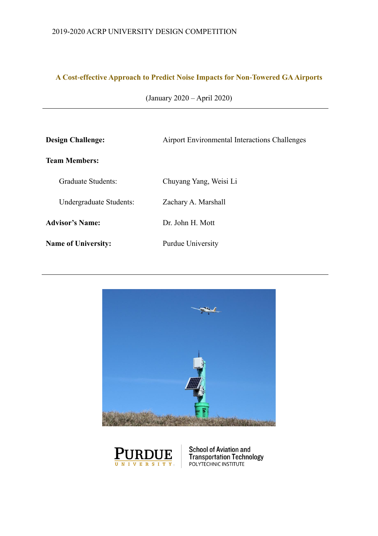# **A Cost-effective Approach to Predict Noise Impacts for Non-Towered GA Airports**

| <b>Design Challenge:</b>   | <b>Airport Environmental Interactions Challenges</b> |  |  |  |
|----------------------------|------------------------------------------------------|--|--|--|
| <b>Team Members:</b>       |                                                      |  |  |  |
| Graduate Students:         | Chuyang Yang, Weisi Li                               |  |  |  |
| Undergraduate Students:    | Zachary A. Marshall                                  |  |  |  |
| <b>Advisor's Name:</b>     | Dr. John H. Mott                                     |  |  |  |
| <b>Name of University:</b> | Purdue University                                    |  |  |  |





**School of Aviation and<br>Transportation Technology**<br>POLYTECHNIC INSTITUTE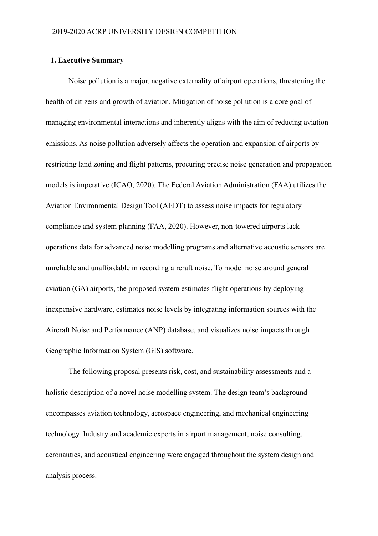# <span id="page-1-0"></span>**1. Executive Summary**

Noise pollution is a major, negative externality of airport operations, threatening the health of citizens and growth of aviation. Mitigation of noise pollution is a core goal of managing environmental interactions and inherently aligns with the aim of reducing aviation emissions. As noise pollution adversely affects the operation and expansion of airports by restricting land zoning and flight patterns, procuring precise noise generation and propagation models is imperative (ICAO, 2020). The Federal Aviation Administration (FAA) utilizes the Aviation Environmental Design Tool (AEDT) to assess noise impacts for regulatory compliance and system planning (FAA, 2020). However, non-towered airports lack operations data for advanced noise modelling programs and alternative acoustic sensors are unreliable and unaffordable in recording aircraft noise. To model noise around general aviation (GA) airports, the proposed system estimates flight operations by deploying inexpensive hardware, estimates noise levels by integrating information sources with the Aircraft Noise and Performance (ANP) database, and visualizes noise impacts through Geographic Information System (GIS) software.

The following proposal presents risk, cost, and sustainability assessments and a holistic description of a novel noise modelling system. The design team's background encompasses aviation technology, aerospace engineering, and mechanical engineering technology. Industry and academic experts in airport management, noise consulting, aeronautics, and acoustical engineering were engaged throughout the system design and analysis process.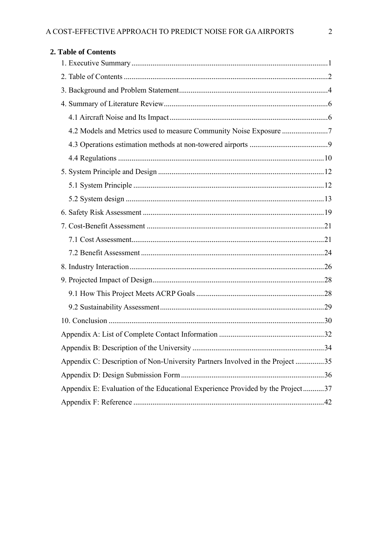<span id="page-2-0"></span>

| 2. Table of Contents                                                           |  |
|--------------------------------------------------------------------------------|--|
|                                                                                |  |
|                                                                                |  |
|                                                                                |  |
|                                                                                |  |
|                                                                                |  |
| 4.2 Models and Metrics used to measure Community Noise Exposure 7              |  |
|                                                                                |  |
|                                                                                |  |
|                                                                                |  |
|                                                                                |  |
|                                                                                |  |
|                                                                                |  |
|                                                                                |  |
|                                                                                |  |
|                                                                                |  |
|                                                                                |  |
|                                                                                |  |
|                                                                                |  |
|                                                                                |  |
|                                                                                |  |
|                                                                                |  |
|                                                                                |  |
| Appendix C: Description of Non-University Partners Involved in the Project 35  |  |
|                                                                                |  |
| Appendix E: Evaluation of the Educational Experience Provided by the Project37 |  |
|                                                                                |  |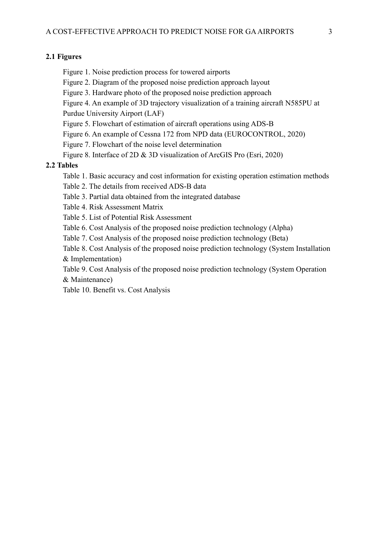# **2.1 Figures**

- Figure 1. Noise prediction process for towered airports
- Figure 2. Diagram of the proposed noise prediction approach layout
- Figure 3. Hardware photo of the proposed noise prediction approach
- Figure 4. An example of 3D trajectory visualization of a training aircraft N585PU at Purdue University Airport (LAF)
- Figure 5. Flowchart of estimation of aircraft operations using ADS-B
- Figure 6. An example of Cessna 172 from NPD data (EUROCONTROL, 2020)
- Figure 7. Flowchart of the noise level determination
- Figure 8. Interface of 2D & 3D visualization of ArcGIS Pro (Esri, 2020)

# **2.2 Tables**

- Table 1. Basic accuracy and cost information for existing operation estimation methods
- Table 2. The details from received ADS-B data
- Table 3. Partial data obtained from the integrated database
- Table 4. Risk Assessment Matrix
- Table 5. List of Potential Risk Assessment
- Table 6. Cost Analysis of the proposed noise prediction technology (Alpha)
- Table 7. Cost Analysis of the proposed noise prediction technology (Beta)
- Table 8. Cost Analysis of the proposed noise prediction technology (System Installation & Implementation)
- Table 9. Cost Analysis of the proposed noise prediction technology (System Operation & Maintenance)
- Table 10. Benefit vs. Cost Analysis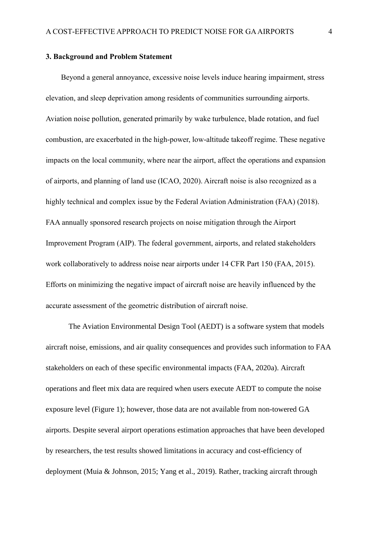# <span id="page-4-0"></span>**3. Background and Problem Statement**

Beyond a general annoyance, excessive noise levels induce hearing impairment, stress elevation, and sleep deprivation among residents of communities surrounding airports. Aviation noise pollution, generated primarily by wake turbulence, blade rotation, and fuel combustion, are exacerbated in the high-power, low-altitude takeoff regime. These negative impacts on the local community, where near the airport, affect the operations and expansion of airports, and planning of land use (ICAO, 2020). Aircraft noise is also recognized as a highly technical and complex issue by the Federal Aviation Administration (FAA) (2018). FAA annually sponsored research projects on noise mitigation through the Airport Improvement Program (AIP). The federal government, airports, and related stakeholders work collaboratively to address noise near airports under 14 CFR Part 150 (FAA, 2015). Efforts on minimizing the negative impact of aircraft noise are heavily influenced by the accurate assessment of the geometric distribution of aircraft noise.

The Aviation Environmental Design Tool (AEDT) is a software system that models aircraft noise, emissions, and air quality consequences and provides such information to FAA stakeholders on each of these specific environmental impacts (FAA, 2020a). Aircraft operations and fleet mix data are required when users execute AEDT to compute the noise exposure level (Figure 1); however, those data are not available from non-towered GA airports. Despite several airport operations estimation approaches that have been developed by researchers, the test results showed limitations in accuracy and cost-efficiency of deployment (Muia & Johnson, 2015; Yang et al., 2019). Rather, tracking aircraft through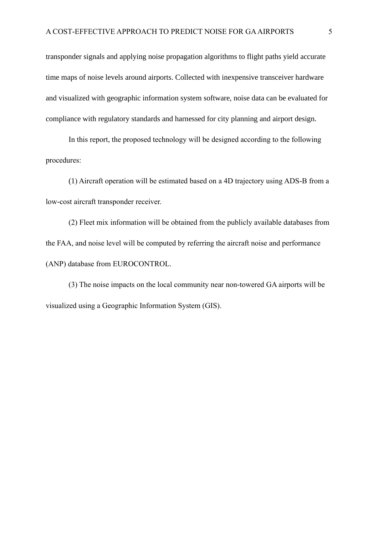transponder signals and applying noise propagation algorithms to flight paths yield accurate time maps of noise levels around airports. Collected with inexpensive transceiver hardware and visualized with geographic information system software, noise data can be evaluated for compliance with regulatory standards and harnessed for city planning and airport design.

In this report, the proposed technology will be designed according to the following procedures:

(1) Aircraft operation will be estimated based on a 4D trajectory using ADS-B from a low-cost aircraft transponder receiver.

(2) Fleet mix information will be obtained from the publicly available databases from the FAA, and noise level will be computed by referring the aircraft noise and performance (ANP) database from EUROCONTROL.

(3) The noise impacts on the local community near non-towered GA airports will be visualized using a Geographic Information System (GIS).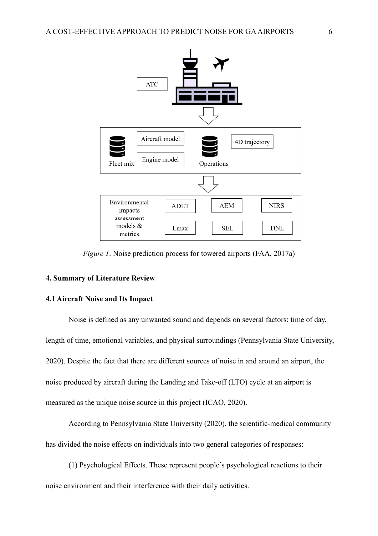

*Figure 1*. Noise prediction process for towered airports (FAA, 2017a)

# <span id="page-6-0"></span>**4. Summary of Literature Review**

### <span id="page-6-1"></span>**4.1 Aircraft Noise and Its Impact**

Noise is defined as any unwanted sound and depends on several factors: time of day, length of time, emotional variables, and physical surroundings (Pennsylvania State University, 2020). Despite the fact that there are different sources of noise in and around an airport, the noise produced by aircraft during the Landing and Take-off (LTO) cycle at an airport is measured as the unique noise source in this project (ICAO, 2020).

According to Pennsylvania State University (2020), the scientific-medical community has divided the noise effects on individuals into two general categories of responses:

(1) Psychological Effects. These represent people's psychological reactions to their noise environment and their interference with their daily activities.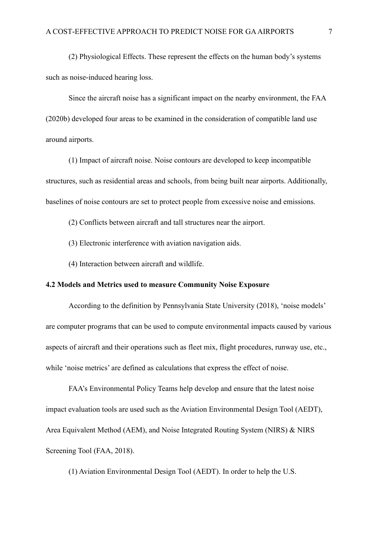(2) Physiological Effects. These represent the effects on the human body's systems such as noise-induced hearing loss.

Since the aircraft noise has a significant impact on the nearby environment, the FAA (2020b) developed four areas to be examined in the consideration of compatible land use around airports.

(1) Impact of aircraft noise. Noise contours are developed to keep incompatible structures, such as residential areas and schools, from being built near airports. Additionally, baselines of noise contours are set to protect people from excessive noise and emissions.

(2) Conflicts between aircraft and tall structures near the airport.

- (3) Electronic interference with aviation navigation aids.
- (4) Interaction between aircraft and wildlife.

# <span id="page-7-0"></span>**4.2 Models and Metrics used to measure Community Noise Exposure**

According to the definition by Pennsylvania State University (2018), 'noise models' are computer programs that can be used to compute environmental impacts caused by various aspects of aircraft and their operations such as fleet mix, flight procedures, runway use, etc., while 'noise metrics' are defined as calculations that express the effect of noise.

FAA's Environmental Policy Teams help develop and ensure that the latest noise impact evaluation tools are used such as the Aviation Environmental Design Tool (AEDT), Area Equivalent Method (AEM), and Noise Integrated Routing System (NIRS) & NIRS Screening Tool (FAA, 2018).

(1) Aviation Environmental Design Tool (AEDT). In order to help the U.S.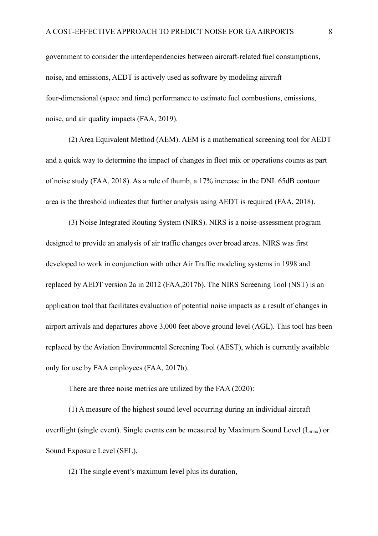government to consider the interdependencies between aircraft-related fuel consumptions, noise, and emissions, AEDT is actively used as software by modeling aircraft four-dimensional (space and time) performance to estimate fuel combustions, emissions, noise, and air quality impacts (FAA, 2019).

(2) Area Equivalent Method (AEM). AEM is a mathematical screening tool for AEDT and a quick way to determine the impact of changes in fleet mix or operations counts as part of noise study (FAA, 2018). As a rule of thumb, a 17% increase in the DNL 65dB contour area is the threshold indicates that further analysis using AEDT is required (FAA, 2018).

(3) Noise Integrated Routing System (NIRS). NIRS is a noise-assessment program designed to provide an analysis of air traffic changes over broad areas. NIRS was first developed to work in conjunction with other Air Traffic modeling systems in 1998 and replaced by AEDT version 2a in 2012 (FAA,2017b). The NIRS Screening Tool (NST) is an application tool that facilitates evaluation of potential noise impacts as a result of changes in airport arrivals and departures above 3,000 feet above ground level (AGL). This tool has been replaced by the Aviation Environmental Screening Tool (AEST), which is currently available only for use by FAA employees (FAA, 2017b).

There are three noise metrics are utilized by the FAA (2020):

(1) A measure of the highest sound level occurring during an individual aircraft overflight (single event). Single events can be measured by Maximum Sound Level ( $L_{max}$ ) or Sound Exposure Level (SEL),

(2) The single event's maximum level plus its duration,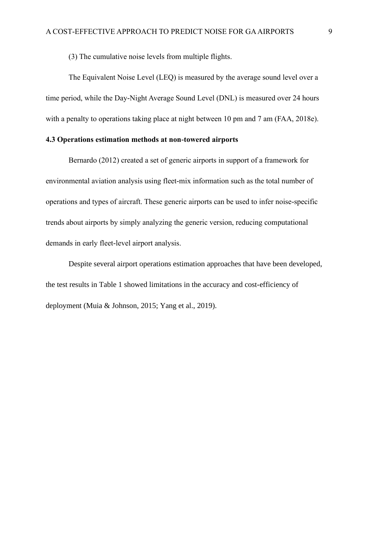(3) The cumulative noise levels from multiple flights.

The Equivalent Noise Level (LEQ) is measured by the average sound level over a time period, while the Day-Night Average Sound Level (DNL) is measured over 24 hours with a penalty to operations taking place at night between 10 pm and 7 am (FAA, 2018e).

# <span id="page-9-0"></span>**4.3 Operations estimation methods at non-towered airports**

Bernardo (2012) created a set of generic airports in support of a framework for environmental aviation analysis using fleet-mix information such as the total number of operations and types of aircraft. These generic airports can be used to infer noise-specific trends about airports by simply analyzing the generic version, reducing computational demands in early fleet-level airport analysis.

Despite several airport operations estimation approaches that have been developed, the test results in Table 1 showed limitations in the accuracy and cost-efficiency of deployment (Muia & Johnson, 2015; Yang et al., 2019).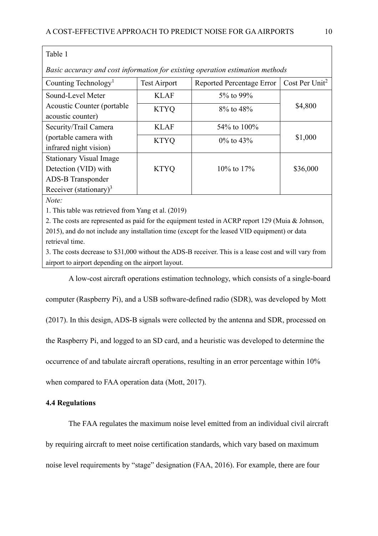# Table 1

*Basic accuracy and cost information for existing operation estimation methods*

| Counting Technology <sup>1</sup>   | <b>Test Airport</b> | <b>Reported Percentage Error</b> | Cost Per Unit <sup>2</sup> |
|------------------------------------|---------------------|----------------------------------|----------------------------|
| Sound-Level Meter                  | <b>KLAF</b>         | $5\%$ to 99%                     |                            |
| Acoustic Counter (portable)        | <b>KTYQ</b>         | 8% to 48%                        | \$4,800                    |
| acoustic counter)                  |                     |                                  |                            |
| Security/Trail Camera              | <b>KLAF</b>         | 54\% to 100\%                    |                            |
| (portable camera with              | <b>KTYQ</b>         | $0\%$ to 43\%                    | \$1,000                    |
| infrared night vision)             |                     |                                  |                            |
| <b>Stationary Visual Image</b>     |                     |                                  |                            |
| Detection (VID) with               | <b>KTYQ</b>         | $10\%$ to $17\%$                 | \$36,000                   |
| <b>ADS-B</b> Transponder           |                     |                                  |                            |
| Receiver (stationary) <sup>3</sup> |                     |                                  |                            |

*Note:* 

1. This table was retrieved from Yang et al. (2019)

2. The costs are represented as paid for the equipment tested in ACRP report 129 (Muia & Johnson, 2015), and do not include any installation time (except for the leased VID equipment) or data retrieval time.

3. The costs decrease to \$31,000 without the ADS-B receiver. This is a lease cost and will vary from airport to airport depending on the airport layout.

A low-cost aircraft operations estimation technology, which consists of a single-board

computer (Raspberry Pi), and a USB software-defined radio (SDR), was developed by Mott

(2017). In this design, ADS-B signals were collected by the antenna and SDR, processed on

the Raspberry Pi, and logged to an SD card, and a heuristic was developed to determine the

occurrence of and tabulate aircraft operations, resulting in an error percentage within 10%

when compared to FAA operation data (Mott, 2017).

# <span id="page-10-0"></span>**4.4 Regulations**

The FAA regulates the maximum noise level emitted from an individual civil aircraft by requiring aircraft to meet noise certification standards, which vary based on maximum noise level requirements by "stage" designation (FAA, 2016). For example, there are four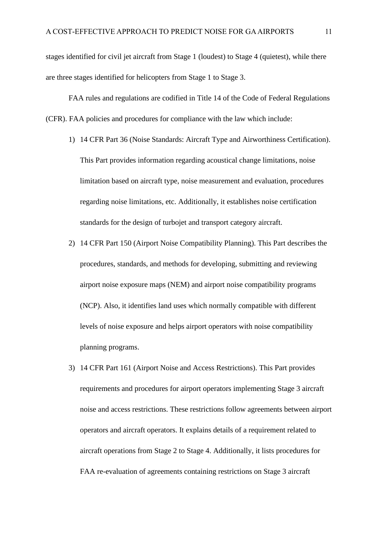stages identified for civil jet aircraft from Stage 1 (loudest) to Stage 4 (quietest), while there are three stages identified for helicopters from Stage 1 to Stage 3.

FAA rules and regulations are codified in Title 14 of the Code of Federal Regulations (CFR). FAA policies and procedures for compliance with the law which include:

- 1) 14 CFR Part 36 (Noise Standards: Aircraft Type and Airworthiness Certification). This Part provides information regarding acoustical change limitations, noise limitation based on aircraft type, noise measurement and evaluation, procedures regarding noise limitations, etc. Additionally, it establishes noise certification standards for the design of turbojet and transport category aircraft.
- 2) 14 CFR Part 150 (Airport Noise Compatibility Planning). This Part describes the procedures, standards, and methods for developing, submitting and reviewing airport noise exposure maps (NEM) and airport noise compatibility programs (NCP). Also, it identifies land uses which normally compatible with different levels of noise exposure and helps airport operators with noise compatibility planning programs.
- 3) 14 CFR Part 161 (Airport Noise and Access Restrictions). This Part provides requirements and procedures for airport operators implementing Stage 3 aircraft noise and access restrictions. These restrictions follow agreements between airport operators and aircraft operators. It explains details of a requirement related to aircraft operations from Stage 2 to Stage 4. Additionally, it lists procedures for FAA re-evaluation of agreements containing restrictions on Stage 3 aircraft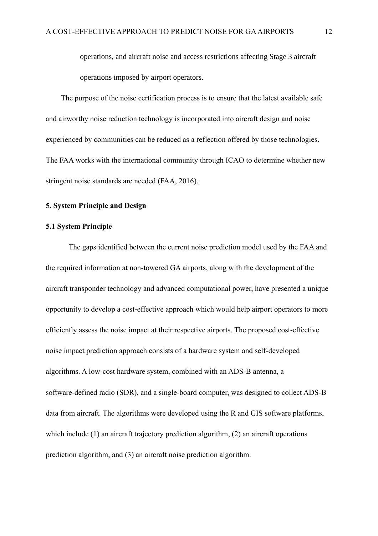operations, and aircraft noise and access restrictions affecting Stage 3 aircraft operations imposed by airport operators.

The purpose of the noise certification process is to ensure that the latest available safe and airworthy noise reduction technology is incorporated into aircraft design and noise experienced by communities can be reduced as a reflection offered by those technologies. The FAA works with the international community through ICAO to determine whether new stringent noise standards are needed (FAA, 2016).

# <span id="page-12-0"></span>**5. System Principle and Design**

# <span id="page-12-1"></span>**5.1 System Principle**

The gaps identified between the current noise prediction model used by the FAA and the required information at non-towered GA airports, along with the development of the aircraft transponder technology and advanced computational power, have presented a unique opportunity to develop a cost-effective approach which would help airport operators to more efficiently assess the noise impact at their respective airports. The proposed cost-effective noise impact prediction approach consists of a hardware system and self-developed algorithms. A low-cost hardware system, combined with an ADS-B antenna, a software-defined radio (SDR), and a single-board computer, was designed to collect ADS-B data from aircraft. The algorithms were developed using the R and GIS software platforms, which include (1) an aircraft trajectory prediction algorithm, (2) an aircraft operations prediction algorithm, and (3) an aircraft noise prediction algorithm.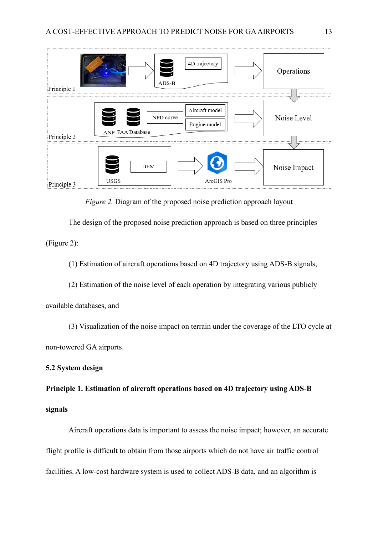

*Figure 2.* Diagram of the proposed noise prediction approach layout

The design of the proposed noise prediction approach is based on three principles (Figure 2):

(1) Estimation of aircraft operations based on 4D trajectory using ADS-B signals,

(2) Estimation of the noise level of each operation by integrating various publicly

available databases, and

(3) Visualization of the noise impact on terrain under the coverage of the LTO cycle at non-towered GA airports.

# <span id="page-13-0"></span>**5.2 System design**

**Principle 1. Estimation of aircraft operations based on 4D trajectory using ADS-B signals**

Aircraft operations data is important to assess the noise impact; however, an accurate flight profile is difficult to obtain from those airports which do not have air traffic control facilities. A low-cost hardware system is used to collect ADS-B data, and an algorithm is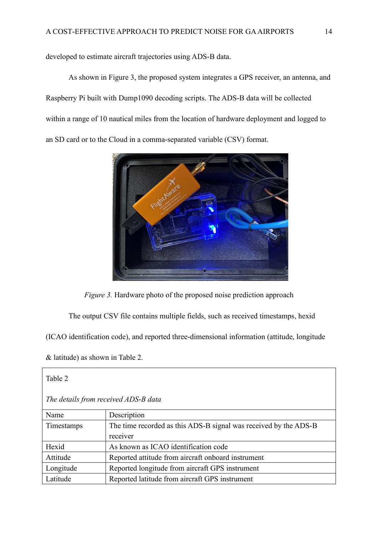developed to estimate aircraft trajectories using ADS-B data.

As shown in Figure 3, the proposed system integrates a GPS receiver, an antenna, and Raspberry Pi built with Dump1090 decoding scripts. The ADS-B data will be collected within a range of 10 nautical miles from the location of hardware deployment and logged to an SD card or to the Cloud in a comma-separated variable (CSV) format.



*Figure 3.* Hardware photo of the proposed noise prediction approach

The output CSV file contains multiple fields, such as received timestamps, hexid

(ICAO identification code), and reported three-dimensional information (attitude, longitude

& latitude) as shown in Table 2.

| Table 2                              |                                                                  |  |  |  |
|--------------------------------------|------------------------------------------------------------------|--|--|--|
| The details from received ADS-B data |                                                                  |  |  |  |
| Name                                 | Description                                                      |  |  |  |
| Timestamps                           | The time recorded as this ADS-B signal was received by the ADS-B |  |  |  |
|                                      | receiver                                                         |  |  |  |
| Hexid                                | As known as ICAO identification code                             |  |  |  |
| Attitude                             | Reported attitude from aircraft onboard instrument               |  |  |  |
| Longitude                            | Reported longitude from aircraft GPS instrument                  |  |  |  |
| Latitude                             | Reported latitude from aircraft GPS instrument                   |  |  |  |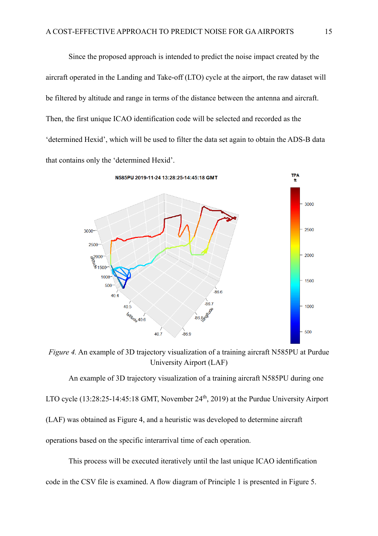Since the proposed approach is intended to predict the noise impact created by the aircraft operated in the Landing and Take-off (LTO) cycle at the airport, the raw dataset will be filtered by altitude and range in terms of the distance between the antenna and aircraft. Then, the first unique ICAO identification code will be selected and recorded as the 'determined Hexid', which will be used to filter the data set again to obtain the ADS-B data that contains only the 'determined Hexid'.



*Figure 4.* An example of 3D trajectory visualization of a training aircraft N585PU at Purdue University Airport (LAF)

An example of 3D trajectory visualization of a training aircraft N585PU during one LTO cycle (13:28:25-14:45:18 GMT, November 24<sup>th</sup>, 2019) at the Purdue University Airport (LAF) was obtained as Figure 4, and a heuristic was developed to determine aircraft operations based on the specific interarrival time of each operation.

This process will be executed iteratively until the last unique ICAO identification code in the CSV file is examined. A flow diagram of Principle 1 is presented in Figure 5.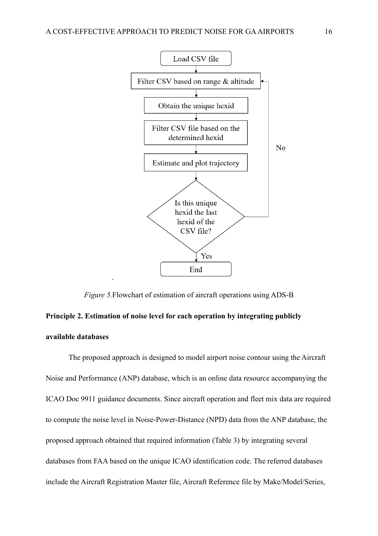

*Figure 5.*Flowchart of estimation of aircraft operations using ADS-B

# **Principle 2. Estimation of noise level for each operation by integrating publicly available databases**

.

The proposed approach is designed to model airport noise contour using the Aircraft Noise and Performance (ANP) database, which is an online data resource accompanying the ICAO Doc 9911 guidance documents. Since aircraft operation and fleet mix data are required to compute the noise level in Noise-Power-Distance (NPD) data from the ANP database, the proposed approach obtained that required information (Table 3) by integrating several databases from FAA based on the unique ICAO identification code. The referred databases include the Aircraft Registration Master file, Aircraft Reference file by Make/Model/Series,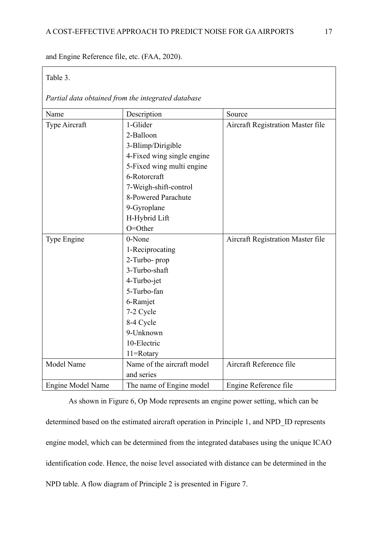and Engine Reference file, etc. (FAA, 2020).

# Table 3.

*Partial data obtained from the integrated database*

| Name              | Description                | Source                            |  |
|-------------------|----------------------------|-----------------------------------|--|
| Type Aircraft     | 1-Glider                   | Aircraft Registration Master file |  |
|                   | 2-Balloon                  |                                   |  |
|                   | 3-Blimp/Dirigible          |                                   |  |
|                   | 4-Fixed wing single engine |                                   |  |
|                   | 5-Fixed wing multi engine  |                                   |  |
|                   | 6-Rotorcraft               |                                   |  |
|                   | 7-Weigh-shift-control      |                                   |  |
|                   | 8-Powered Parachute        |                                   |  |
|                   | 9-Gyroplane                |                                   |  |
|                   | H-Hybrid Lift              |                                   |  |
|                   | O=Other                    |                                   |  |
| Type Engine       | 0-None                     | Aircraft Registration Master file |  |
|                   | 1-Reciprocating            |                                   |  |
|                   | 2-Turbo- prop              |                                   |  |
|                   | 3-Turbo-shaft              |                                   |  |
|                   | 4-Turbo-jet                |                                   |  |
|                   | 5-Turbo-fan                |                                   |  |
|                   | 6-Ramjet                   |                                   |  |
|                   | 7-2 Cycle                  |                                   |  |
|                   | 8-4 Cycle                  |                                   |  |
|                   | 9-Unknown                  |                                   |  |
|                   | 10-Electric                |                                   |  |
|                   | 11=Rotary                  |                                   |  |
| Model Name        | Name of the aircraft model | Aircraft Reference file           |  |
|                   | and series                 |                                   |  |
| Engine Model Name | The name of Engine model   | Engine Reference file             |  |

As shown in Figure 6, Op Mode represents an engine power setting, which can be determined based on the estimated aircraft operation in Principle 1, and NPD\_ID represents engine model, which can be determined from the integrated databases using the unique ICAO identification code. Hence, the noise level associated with distance can be determined in the NPD table. A flow diagram of Principle 2 is presented in Figure 7.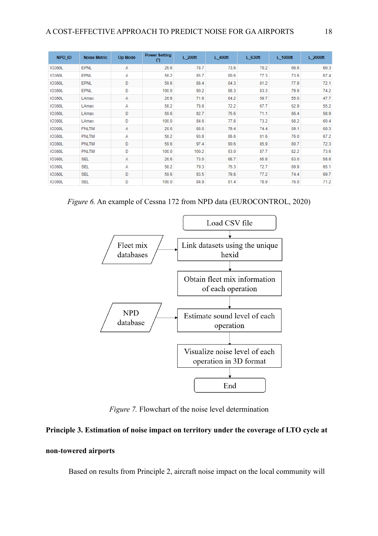| NPD ID        | <b>Noise Metric</b> | Op Mode | <b>Power Setting</b><br>$(*)$ | L 200ft | $L_400ft$ | $L_630ft$ | $L_1000$ ft | L 2000ft |
|---------------|---------------------|---------|-------------------------------|---------|-----------|-----------|-------------|----------|
| <b>IO360L</b> | <b>EPNL</b>         | Α       | 26.6                          | 78.7    | 73.6      | 70.2      | 66.6        | 60.3     |
| <b>IO360L</b> | EPNL                | Α       | 58.2                          | 85.7    | 80.6      | 77.3      | 73.6        | 67.4     |
| <b>IO360L</b> | <b>EPNL</b>         | D       | 59.6                          | 88.4    | 84.3      | 81.2      | 77.9        | 72.1     |
| <b>IO360L</b> | EPNL                | D       | 100.0                         | 90.2    | 86.3      | 83.3      | 79.9        | 74.2     |
| <b>IO360L</b> | LAmax               | A       | 26.6                          | 71.6    | 64.2      | 59.7      | 55.0        | 47.7     |
| <b>IO360L</b> | LAmax               | A       | 58.2                          | 78.8    | 72.2      | 67.7      | 62.9        | 55.2     |
| <b>IO360L</b> | LAmax               | D       | 59.6                          | 82.7    | 75.6      | 71.1      | 66.4        | 58.9     |
| <b>IO360L</b> | LAmax               | D       | 100.0                         | 84.6    | 77.8      | 73.2      | 68.2        | 60.4     |
| <b>IO360L</b> | <b>PNLTM</b>        | Α       | 26.6                          | 86.6    | 79.4      | 74.4      | 69.1        | 60.3     |
| <b>IO360L</b> | <b>PNLTM</b>        | A       | 58.2                          | 93.8    | 86.6      | 81.6      | 76.0        | 67.2     |
| <b>IO360L</b> | <b>PNLTM</b>        | D       | 59.6                          | 97.4    | 90.6      | 85.9      | 80.7        | 72.3     |
| <b>IO360L</b> | <b>PNLTM</b>        | D       | 100.0                         | 100.2   | 93.0      | 87.7      | 82.2        | 73.6     |
| <b>IO360L</b> | <b>SEL</b>          | A       | 26.6                          | 73.0    | 68.7      | 65.8      | 63.0        | 58.6     |
| <b>IO360L</b> | <b>SEL</b>          | Α       | 58.2                          | 79.3    | 75.3      | 72.7      | 69.9        | 65.1     |
| <b>IO360L</b> | <b>SEL</b>          | D       | 59.6                          | 83.5    | 79.8      | 77.2      | 74.4        | 69.7     |
| <b>IO360L</b> | <b>SEL</b>          | D       | 100.0                         | 84.9    | 81.4      | 78.9      | 76.0        | 71.2     |

*Figure 6.* An example of Cessna 172 from NPD data (EUROCONTROL, 2020)



*Figure 7.* Flowchart of the noise level determination

# **Principle 3. Estimation of noise impact on territory under the coverage of LTO cycle at**

# **non-towered airports**

Based on results from Principle 2, aircraft noise impact on the local community will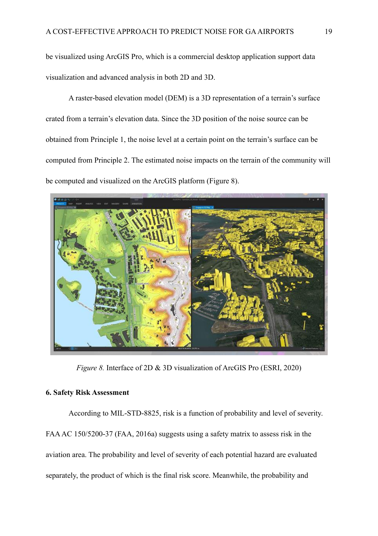be visualized using ArcGIS Pro, which is a commercial desktop application support data visualization and advanced analysis in both 2D and 3D.

A raster-based elevation model (DEM) is a 3D representation of a terrain's surface crated from a terrain's elevation data. Since the 3D position of the noise source can be obtained from Principle 1, the noise level at a certain point on the terrain's surface can be computed from Principle 2. The estimated noise impacts on the terrain of the community will be computed and visualized on the ArcGIS platform (Figure 8).



*Figure 8.* Interface of 2D & 3D visualization of ArcGIS Pro (ESRI, 2020)

# <span id="page-19-0"></span>**6. Safety Risk Assessment**

According to MIL-STD-8825, risk is a function of probability and level of severity. FAA AC 150/5200-37 (FAA, 2016a) suggests using a safety matrix to assess risk in the aviation area. The probability and level of severity of each potential hazard are evaluated separately, the product of which is the final risk score. Meanwhile, the probability and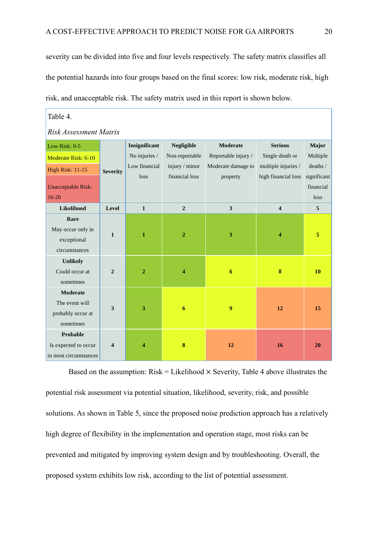severity can be divided into five and four levels respectively. The safety matrix classifies all the potential hazards into four groups based on the final scores: low risk, moderate risk, high risk, and unacceptable risk. The safety matrix used in this report is shown below.

| Table 4.                  |                  |                |                |                     |                         |             |  |  |
|---------------------------|------------------|----------------|----------------|---------------------|-------------------------|-------------|--|--|
| Risk Assessment Matrix    |                  |                |                |                     |                         |             |  |  |
| Low Risk: 0-5             |                  | Insignificant  | Negligible     | <b>Moderate</b>     | <b>Serious</b>          | Major       |  |  |
| Moderate Risk: 6-10       |                  | No injuries /  | Non-reportable | Reportable injury / | Single death or         | Multiple    |  |  |
| <b>High Risk: 11-15</b>   | <b>Severity</b>  | Low financial  | injury / minor | Moderate damage to  | multiple injuries /     | deaths /    |  |  |
|                           |                  | loss           | financial loss | property            | high financial loss     | significant |  |  |
| <b>Unacceptable Risk:</b> |                  |                |                |                     |                         | financial   |  |  |
| $16 - 20$                 |                  |                |                |                     |                         | loss        |  |  |
| Likelihood                | Level            | $\mathbf{1}$   | $\overline{2}$ | $\mathbf{3}$        | $\overline{\mathbf{4}}$ | 5           |  |  |
| Rare                      |                  |                |                |                     |                         |             |  |  |
| May occur only in         | $\mathbf{1}$     | $\mathbf{1}$   | $\overline{2}$ | 3                   | 4                       | 5           |  |  |
| exceptional               |                  |                |                |                     |                         |             |  |  |
| circumstances             |                  |                |                |                     |                         |             |  |  |
| <b>Unlikely</b>           |                  |                |                |                     |                         |             |  |  |
| Could occur at            | $\overline{2}$   | $\overline{2}$ | 4              | $\boldsymbol{6}$    | $\bf{8}$                | 10          |  |  |
| sometimes                 |                  |                |                |                     |                         |             |  |  |
| <b>Moderate</b>           |                  |                |                |                     |                         |             |  |  |
| The event will            | 3                | 3              | 6              | 9                   | 12                      | 15          |  |  |
| probably occur at         |                  |                |                |                     |                         |             |  |  |
| sometimes                 |                  |                |                |                     |                         |             |  |  |
| Probable                  |                  |                |                |                     |                         |             |  |  |
| Is expected to occur      | $\boldsymbol{4}$ | Δ              | 8              | 12                  | 16                      | 20          |  |  |
| in most circumstances     |                  |                |                |                     |                         |             |  |  |

Based on the assumption:  $Risk = Likelihood \times Security$ , Table 4 above illustrates the potential risk assessment via potential situation, likelihood, severity, risk, and possible solutions. As shown in Table 5, since the proposed noise prediction approach has a relatively high degree of flexibility in the implementation and operation stage, most risks can be prevented and mitigated by improving system design and by troubleshooting. Overall, the proposed system exhibits low risk, according to the list of potential assessment.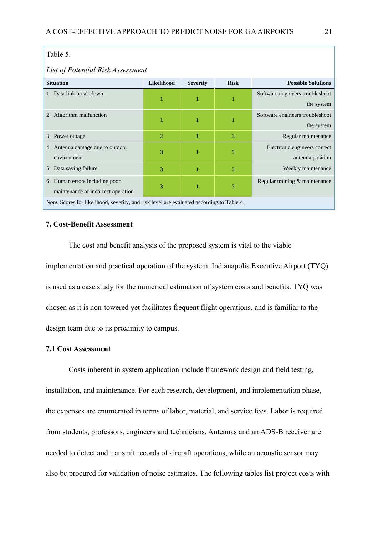# Table 5.

## *List of Potential Risk Assessment*

| <b>Situation</b>                                                                                 | <b>Likelihood</b> | <b>Severity</b> | <b>Risk</b> | <b>Possible Solutions</b>       |  |  |
|--------------------------------------------------------------------------------------------------|-------------------|-----------------|-------------|---------------------------------|--|--|
| Data link break down                                                                             |                   |                 |             | Software engineers troubleshoot |  |  |
|                                                                                                  | ı                 |                 |             | the system                      |  |  |
| Algorithm malfunction                                                                            |                   |                 |             | Software engineers troubleshoot |  |  |
|                                                                                                  | 1                 |                 |             | the system                      |  |  |
| Power outage<br>3                                                                                | $\overline{2}$    |                 | 3           | Regular maintenance             |  |  |
| Antenna damage due to outdoor<br>4                                                               |                   |                 |             | Electronic engineers correct    |  |  |
| environment                                                                                      | 3                 |                 | 3           | antenna position                |  |  |
| Data saving failure<br>5                                                                         | 3                 |                 | 3           | Weekly maintenance              |  |  |
| Human errors including poor<br>6                                                                 |                   |                 |             | Regular training & maintenance  |  |  |
| maintenance or incorrect operation                                                               | 3                 |                 | 3           |                                 |  |  |
| <i>Note.</i> Scores for likelihood, severity, and risk level are evaluated according to Table 4. |                   |                 |             |                                 |  |  |

# <span id="page-21-0"></span>**7. Cost-Benefit Assessment**

The cost and benefit analysis of the proposed system is vital to the viable implementation and practical operation of the system. Indianapolis Executive Airport (TYQ) is used as a case study for the numerical estimation of system costs and benefits. TYQ was chosen as it is non-towered yet facilitates frequent flight operations, and is familiar to the design team due to its proximity to campus.

## <span id="page-21-1"></span>**7.1 Cost Assessment**

Costs inherent in system application include framework design and field testing, installation, and maintenance. For each research, development, and implementation phase, the expenses are enumerated in terms of labor, material, and service fees. Labor is required from students, professors, engineers and technicians. Antennas and an ADS-B receiver are needed to detect and transmit records of aircraft operations, while an acoustic sensor may also be procured for validation of noise estimates. The following tables list project costs with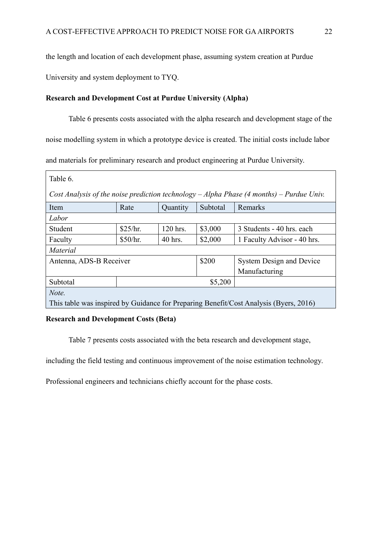the length and location of each development phase, assuming system creation at Purdue

University and system deployment to TYQ.

# **Research and Development Cost at Purdue University (Alpha)**

Table 6 presents costs associated with the alpha research and development stage of the noise modelling system in which a prototype device is created. The initial costs include labor and materials for preliminary research and product engineering at Purdue University.

| Table 6.                                                                                     |          |          |          |                                                                                       |  |  |  |
|----------------------------------------------------------------------------------------------|----------|----------|----------|---------------------------------------------------------------------------------------|--|--|--|
| Cost Analysis of the noise prediction technology $-A$ lpha Phase (4 months) $-$ Purdue Univ. |          |          |          |                                                                                       |  |  |  |
| Item                                                                                         | Rate     | Quantity | Subtotal | Remarks                                                                               |  |  |  |
| Labor                                                                                        |          |          |          |                                                                                       |  |  |  |
| Student                                                                                      | \$25/hr. | 120 hrs. | \$3,000  | 3 Students - 40 hrs. each                                                             |  |  |  |
| Faculty                                                                                      | \$50/hr. | 40 hrs.  | \$2,000  | 1 Faculty Advisor - 40 hrs.                                                           |  |  |  |
| <i>Material</i>                                                                              |          |          |          |                                                                                       |  |  |  |
| \$200<br>Antenna, ADS-B Receiver<br><b>System Design and Device</b>                          |          |          |          |                                                                                       |  |  |  |
|                                                                                              |          |          |          | Manufacturing                                                                         |  |  |  |
| Subtotal                                                                                     | \$5,200  |          |          |                                                                                       |  |  |  |
| Note.                                                                                        |          |          |          |                                                                                       |  |  |  |
|                                                                                              |          |          |          | This table was inspired by Guidance for Preparing Benefit/Cost Analysis (Byers, 2016) |  |  |  |

# **Research and Development Costs (Beta)**

Table 7 presents costs associated with the beta research and development stage,

including the field testing and continuous improvement of the noise estimation technology.

Professional engineers and technicians chiefly account for the phase costs.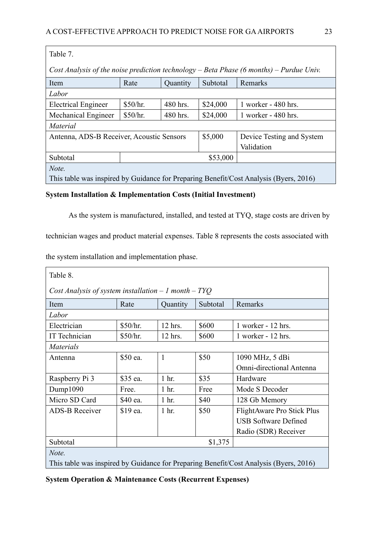| Table 7.                                                                                |            |          |          |                                                                                       |  |  |
|-----------------------------------------------------------------------------------------|------------|----------|----------|---------------------------------------------------------------------------------------|--|--|
| Cost Analysis of the noise prediction technology – Beta Phase (6 months) – Purdue Univ. |            |          |          |                                                                                       |  |  |
| Item                                                                                    | Rate       | Quantity | Subtotal | Remarks                                                                               |  |  |
| Labor                                                                                   |            |          |          |                                                                                       |  |  |
| <b>Electrical Engineer</b>                                                              | \$50/hr.   | 480 hrs. | \$24,000 | 1 worker - 480 hrs.                                                                   |  |  |
| Mechanical Engineer                                                                     | \$50/hr.   | 480 hrs. | \$24,000 | 1 worker - 480 hrs.                                                                   |  |  |
| <i>Material</i>                                                                         |            |          |          |                                                                                       |  |  |
| \$5,000<br>Antenna, ADS-B Receiver, Acoustic Sensors<br>Device Testing and System       |            |          |          |                                                                                       |  |  |
|                                                                                         | Validation |          |          |                                                                                       |  |  |
| Subtotal                                                                                | \$53,000   |          |          |                                                                                       |  |  |
| Note.                                                                                   |            |          |          |                                                                                       |  |  |
|                                                                                         |            |          |          | This table was inspired by Guidance for Preparing Benefit/Cost Analysis (Byers, 2016) |  |  |

# **System Installation & Implementation Costs (Initial Investment)**

As the system is manufactured, installed, and tested at TYQ, stage costs are driven by

technician wages and product material expenses. Table 8 represents the costs associated with

the system installation and implementation phase.

| Table 8.                                                                              |          |                                 |         |                             |  |  |  |
|---------------------------------------------------------------------------------------|----------|---------------------------------|---------|-----------------------------|--|--|--|
| Cost Analysis of system installation $-1$ month $-$ TYQ                               |          |                                 |         |                             |  |  |  |
| Item                                                                                  | Rate     | Quantity<br>Subtotal<br>Remarks |         |                             |  |  |  |
| Labor                                                                                 |          |                                 |         |                             |  |  |  |
| Electrician                                                                           | \$50/hr. | $12$ hrs.                       | \$600   | $1$ worker - $12$ hrs.      |  |  |  |
| IT Technician                                                                         | \$50/hr. | 12 hrs.                         | \$600   | $1$ worker - $12$ hrs.      |  |  |  |
| <i>Materials</i>                                                                      |          |                                 |         |                             |  |  |  |
| Antenna                                                                               | \$50 ea. | 1                               | \$50    | 1090 MHz, 5 dBi             |  |  |  |
|                                                                                       |          |                                 |         | Omni-directional Antenna    |  |  |  |
| Raspberry Pi 3                                                                        | \$35 ea. | 1 <sub>hr.</sub>                | \$35    | Hardware                    |  |  |  |
| Dump1090                                                                              | Free.    | 1 <sub>hr.</sub>                | Free    | Mode S Decoder              |  |  |  |
| Micro SD Card                                                                         | \$40 ea. | 1 <sub>hr.</sub>                | \$40    | 128 Gb Memory               |  |  |  |
| <b>ADS-B Receiver</b>                                                                 | \$19 ea. | 1 hr.                           | \$50    | FlightAware Pro Stick Plus  |  |  |  |
|                                                                                       |          |                                 |         | <b>USB Software Defined</b> |  |  |  |
|                                                                                       |          |                                 |         | Radio (SDR) Receiver        |  |  |  |
| Subtotal                                                                              |          |                                 | \$1,375 |                             |  |  |  |
| Note.                                                                                 |          |                                 |         |                             |  |  |  |
| This table was inspired by Guidance for Preparing Benefit/Cost Analysis (Byers, 2016) |          |                                 |         |                             |  |  |  |

**System Operation & Maintenance Costs (Recurrent Expenses)**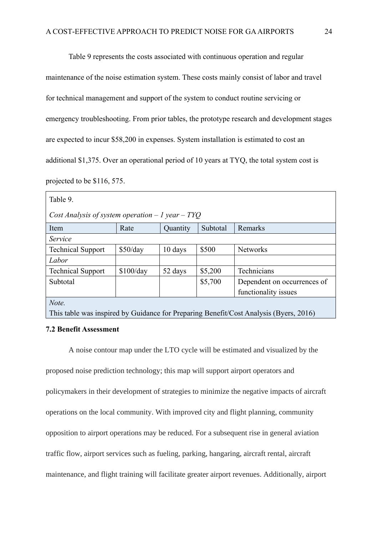Table 9 represents the costs associated with continuous operation and regular

maintenance of the noise estimation system. These costs mainly consist of labor and travel for technical management and support of the system to conduct routine servicing or emergency troubleshooting. From prior tables, the prototype research and development stages are expected to incur \$58,200 in expenses. System installation is estimated to cost an additional \$1,375. Over an operational period of 10 years at TYQ, the total system cost is projected to be \$116, 575.

| Table 9.                                                                              |           |          |          |                             |  |  |  |  |
|---------------------------------------------------------------------------------------|-----------|----------|----------|-----------------------------|--|--|--|--|
| Cost Analysis of system operation $-1$ year $-$ TYQ                                   |           |          |          |                             |  |  |  |  |
| Item                                                                                  | Rate      | Quantity | Subtotal | Remarks                     |  |  |  |  |
| Service                                                                               |           |          |          |                             |  |  |  |  |
| <b>Technical Support</b>                                                              | \$50/day  | 10 days  | \$500    | <b>Networks</b>             |  |  |  |  |
| Labor                                                                                 |           |          |          |                             |  |  |  |  |
| <b>Technical Support</b>                                                              | \$100/day | 52 days  | \$5,200  | Technicians                 |  |  |  |  |
| Subtotal                                                                              |           |          | \$5,700  | Dependent on occurrences of |  |  |  |  |
|                                                                                       |           |          |          | functionality issues        |  |  |  |  |
| Note.                                                                                 |           |          |          |                             |  |  |  |  |
| This table was inspired by Guidance for Preparing Benefit/Cost Analysis (Byers, 2016) |           |          |          |                             |  |  |  |  |

# <span id="page-24-0"></span>**7.2 Benefit Assessment**

A noise contour map under the LTO cycle will be estimated and visualized by the

proposed noise prediction technology; this map will support airport operators and policymakers in their development of strategies to minimize the negative impacts of aircraft operations on the local community. With improved city and flight planning, community opposition to airport operations may be reduced. For a subsequent rise in general aviation traffic flow, airport services such as fueling, parking, hangaring, aircraft rental, aircraft maintenance, and flight training will facilitate greater airport revenues. Additionally, airport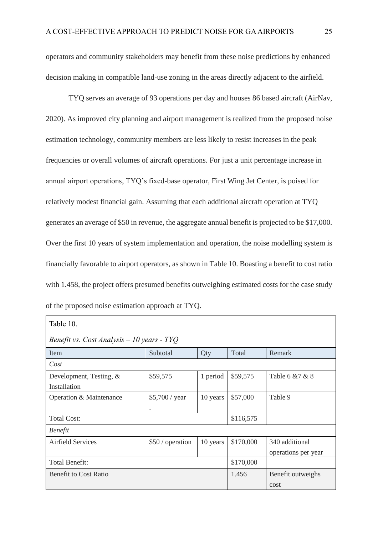operators and community stakeholders may benefit from these noise predictions by enhanced decision making in compatible land-use zoning in the areas directly adjacent to the airfield.

TYQ serves an average of 93 operations per day and houses 86 based aircraft (AirNav, 2020). As improved city planning and airport management is realized from the proposed noise estimation technology, community members are less likely to resist increases in the peak frequencies or overall volumes of aircraft operations. For just a unit percentage increase in annual airport operations, TYQ's fixed-base operator, First Wing Jet Center, is poised for relatively modest financial gain. Assuming that each additional aircraft operation at TYQ generates an average of \$50 in revenue, the aggregate annual benefit is projected to be \$17,000. Over the first 10 years of system implementation and operation, the noise modelling system is financially favorable to airport operators, as shown in Table 10. Boasting a benefit to cost ratio with 1.458, the project offers presumed benefits outweighing estimated costs for the case study of the proposed noise estimation approach at TYQ.

| Table 10.                                   |                      |                   |           |                     |  |  |  |  |
|---------------------------------------------|----------------------|-------------------|-----------|---------------------|--|--|--|--|
| Benefit vs. Cost Analysis $-10$ years - TYQ |                      |                   |           |                     |  |  |  |  |
| Item                                        | Subtotal             | Qty               | Total     | Remark              |  |  |  |  |
| Cost                                        |                      |                   |           |                     |  |  |  |  |
| Development, Testing, &                     | \$59,575             | 1 period          | \$59,575  | Table 6 & 7 & 8     |  |  |  |  |
| Installation                                |                      |                   |           |                     |  |  |  |  |
| Operation & Maintenance                     | \$5,700 / year       | 10 years          | \$57,000  | Table 9             |  |  |  |  |
|                                             | $\ddot{\phantom{a}}$ |                   |           |                     |  |  |  |  |
| <b>Total Cost:</b>                          | \$116,575            |                   |           |                     |  |  |  |  |
| <b>Benefit</b>                              |                      |                   |           |                     |  |  |  |  |
| <b>Airfield Services</b>                    | \$50 / operation     | 10 years          | \$170,000 | 340 additional      |  |  |  |  |
|                                             |                      |                   |           | operations per year |  |  |  |  |
| <b>Total Benefit:</b>                       | \$170,000            |                   |           |                     |  |  |  |  |
| <b>Benefit to Cost Ratio</b>                | 1.456                | Benefit outweighs |           |                     |  |  |  |  |
|                                             |                      |                   |           | cost                |  |  |  |  |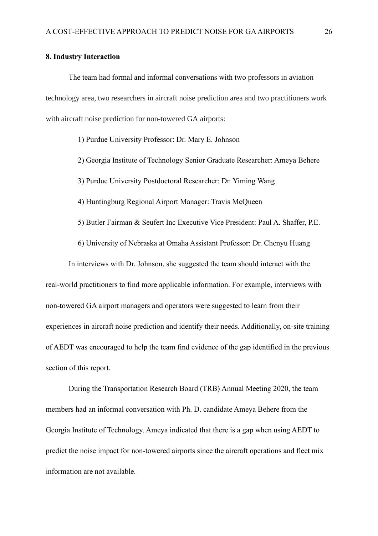## <span id="page-26-0"></span>**8. Industry Interaction**

The team had formal and informal conversations with two professors in aviation technology area, two researchers in aircraft noise prediction area and two practitioners work with aircraft noise prediction for non-towered GA airports:

1) Purdue University Professor: Dr. Mary E. Johnson

- 2) Georgia Institute of Technology Senior Graduate Researcher: Ameya Behere
- 3) Purdue University Postdoctoral Researcher: Dr. Yiming Wang

4) Huntingburg Regional Airport Manager: Travis McQueen

5) Butler Fairman & Seufert Inc Executive Vice President: Paul A. Shaffer, P.E.

6) University of Nebraska at Omaha Assistant Professor: Dr. Chenyu Huang

In interviews with Dr. Johnson, she suggested the team should interact with the real-world practitioners to find more applicable information. For example, interviews with non-towered GA airport managers and operators were suggested to learn from their experiences in aircraft noise prediction and identify their needs. Additionally, on-site training of AEDT was encouraged to help the team find evidence of the gap identified in the previous section of this report.

During the Transportation Research Board (TRB) Annual Meeting 2020, the team members had an informal conversation with Ph. D. candidate Ameya Behere from the Georgia Institute of Technology. Ameya indicated that there is a gap when using AEDT to predict the noise impact for non-towered airports since the aircraft operations and fleet mix information are not available.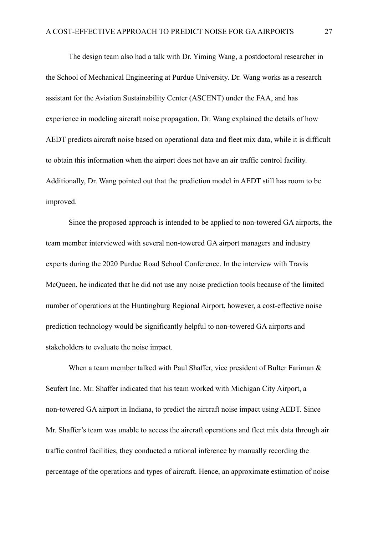The design team also had a talk with Dr. Yiming Wang, a postdoctoral researcher in the School of Mechanical Engineering at Purdue University. Dr. Wang works as a research assistant for the Aviation Sustainability Center (ASCENT) under the FAA, and has experience in modeling aircraft noise propagation. Dr. Wang explained the details of how AEDT predicts aircraft noise based on operational data and fleet mix data, while it is difficult to obtain this information when the airport does not have an air traffic control facility. Additionally, Dr. Wang pointed out that the prediction model in AEDT still has room to be improved.

Since the proposed approach is intended to be applied to non-towered GA airports, the team member interviewed with several non-towered GA airport managers and industry experts during the 2020 Purdue Road School Conference. In the interview with Travis McQueen, he indicated that he did not use any noise prediction tools because of the limited number of operations at the Huntingburg Regional Airport, however, a cost-effective noise prediction technology would be significantly helpful to non-towered GA airports and stakeholders to evaluate the noise impact.

When a team member talked with Paul Shaffer, vice president of Bulter Fariman & Seufert Inc. Mr. Shaffer indicated that his team worked with Michigan City Airport, a non-towered GA airport in Indiana, to predict the aircraft noise impact using AEDT. Since Mr. Shaffer's team was unable to access the aircraft operations and fleet mix data through air traffic control facilities, they conducted a rational inference by manually recording the percentage of the operations and types of aircraft. Hence, an approximate estimation of noise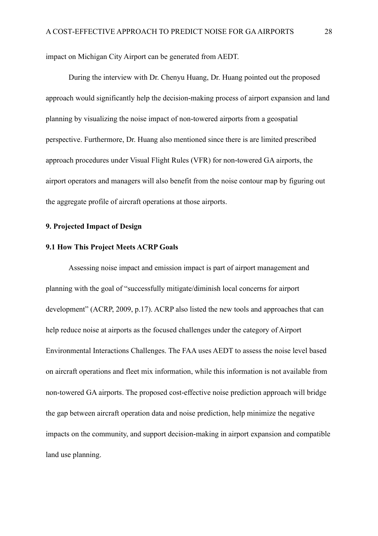impact on Michigan City Airport can be generated from AEDT.

During the interview with Dr. Chenyu Huang, Dr. Huang pointed out the proposed approach would significantly help the decision-making process of airport expansion and land planning by visualizing the noise impact of non-towered airports from a geospatial perspective. Furthermore, Dr. Huang also mentioned since there is are limited prescribed approach procedures under Visual Flight Rules (VFR) for non-towered GA airports, the airport operators and managers will also benefit from the noise contour map by figuring out the aggregate profile of aircraft operations at those airports.

# <span id="page-28-0"></span>**9. Projected Impact of Design**

# <span id="page-28-1"></span>**9.1 How This Project Meets ACRP Goals**

Assessing noise impact and emission impact is part of airport management and planning with the goal of "successfully mitigate/diminish local concerns for airport development" (ACRP, 2009, p.17). ACRP also listed the new tools and approaches that can help reduce noise at airports as the focused challenges under the category of Airport Environmental Interactions Challenges. The FAA uses AEDT to assess the noise level based on aircraft operations and fleet mix information, while this information is not available from non-towered GA airports. The proposed cost-effective noise prediction approach will bridge the gap between aircraft operation data and noise prediction, help minimize the negative impacts on the community, and support decision-making in airport expansion and compatible land use planning.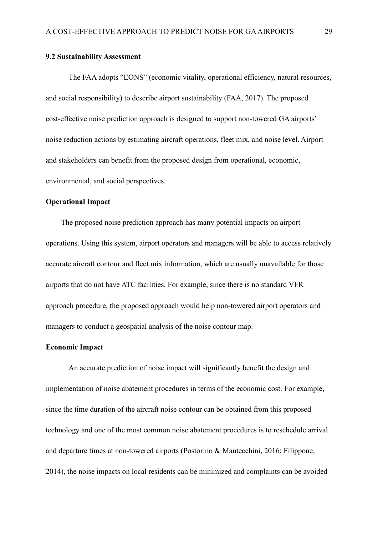## <span id="page-29-0"></span>**9.2 Sustainability Assessment**

The FAA adopts "EONS" (economic vitality, operational efficiency, natural resources, and social responsibility) to describe airport sustainability (FAA, 2017). The proposed cost-effective noise prediction approach is designed to support non-towered GA airports' noise reduction actions by estimating aircraft operations, fleet mix, and noise level. Airport and stakeholders can benefit from the proposed design from operational, economic, environmental, and social perspectives.

# **Operational Impact**

The proposed noise prediction approach has many potential impacts on airport operations. Using this system, airport operators and managers will be able to access relatively accurate aircraft contour and fleet mix information, which are usually unavailable for those airports that do not have ATC facilities. For example, since there is no standard VFR approach procedure, the proposed approach would help non-towered airport operators and managers to conduct a geospatial analysis of the noise contour map.

## **Economic Impact**

An accurate prediction of noise impact will significantly benefit the design and implementation of noise abatement procedures in terms of the economic cost. For example, since the time duration of the aircraft noise contour can be obtained from this proposed technology and one of the most common noise abatement procedures is to reschedule arrival and departure times at non-towered airports (Postorino & Mantecchini, 2016; Filippone, 2014), the noise impacts on local residents can be minimized and complaints can be avoided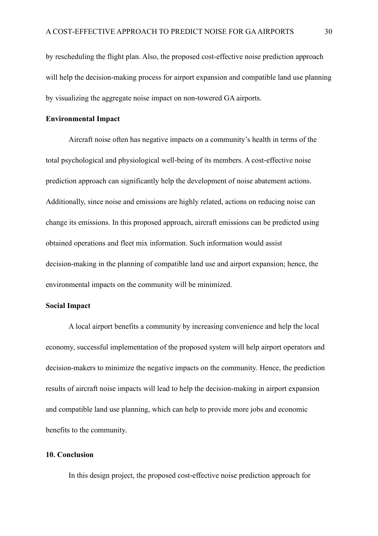by rescheduling the flight plan. Also, the proposed cost-effective noise prediction approach will help the decision-making process for airport expansion and compatible land use planning by visualizing the aggregate noise impact on non-towered GA airports.

## **Environmental Impact**

Aircraft noise often has negative impacts on a community's health in terms of the total psychological and physiological well-being of its members. A cost-effective noise prediction approach can significantly help the development of noise abatement actions. Additionally, since noise and emissions are highly related, actions on reducing noise can change its emissions. In this proposed approach, aircraft emissions can be predicted using obtained operations and fleet mix information. Such information would assist decision-making in the planning of compatible land use and airport expansion; hence, the environmental impacts on the community will be minimized.

## **Social Impact**

A local airport benefits a community by increasing convenience and help the local economy, successful implementation of the proposed system will help airport operators and decision-makers to minimize the negative impacts on the community. Hence, the prediction results of aircraft noise impacts will lead to help the decision-making in airport expansion and compatible land use planning, which can help to provide more jobs and economic benefits to the community.

## <span id="page-30-0"></span>**10. Conclusion**

In this design project, the proposed cost-effective noise prediction approach for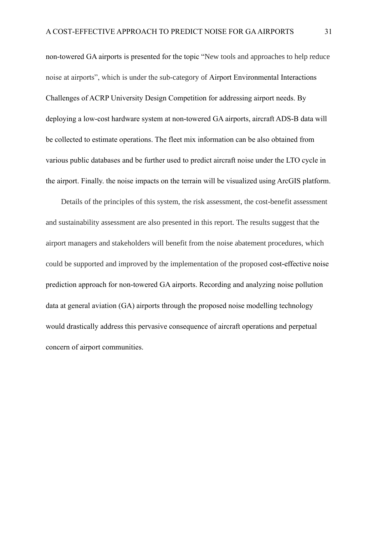non-towered GA airports is presented for the topic "New tools and approaches to help reduce noise at airports", which is under the sub-category of Airport Environmental Interactions Challenges of ACRP University Design Competition for addressing airport needs. By deploying a low-cost hardware system at non-towered GA airports, aircraft ADS-B data will be collected to estimate operations. The fleet mix information can be also obtained from various public databases and be further used to predict aircraft noise under the LTO cycle in the airport. Finally. the noise impacts on the terrain will be visualized using ArcGIS platform.

Details of the principles of this system, the risk assessment, the cost-benefit assessment and sustainability assessment are also presented in this report. The results suggest that the airport managers and stakeholders will benefit from the noise abatement procedures, which could be supported and improved by the implementation of the proposed cost-effective noise prediction approach for non-towered GA airports. Recording and analyzing noise pollution data at general aviation (GA) airports through the proposed noise modelling technology would drastically address this pervasive consequence of aircraft operations and perpetual concern of airport communities.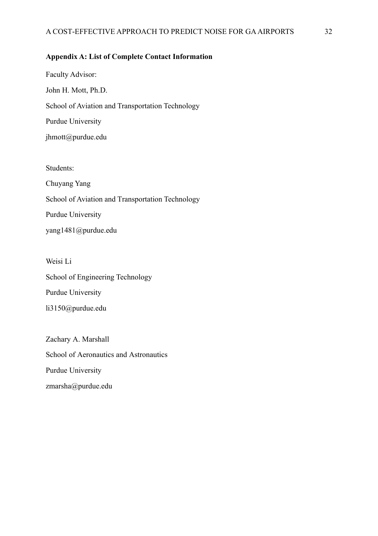# <span id="page-32-0"></span>**Appendix A: List of Complete Contact Information**

Faculty Advisor: John H. Mott, Ph.D. School of Aviation and Transportation Technology Purdue University jhmott@purdue.edu

Students:

Chuyang Yang School of Aviation and Transportation Technology Purdue University yang1481@purdue.edu

Weisi Li School of Engineering Technology Purdue University li3150@purdue.edu

Zachary A. Marshall School of Aeronautics and Astronautics Purdue University zmarsha@purdue.edu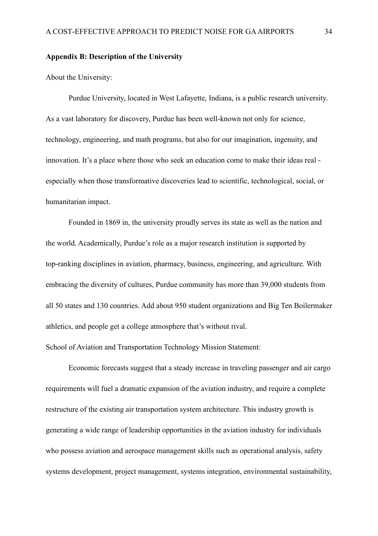# <span id="page-33-0"></span>**Appendix B: Description of the University**

About the University:

Purdue University, located in West Lafayette, Indiana, is a public research university. As a vast laboratory for discovery, Purdue has been well-known not only for science, technology, engineering, and math programs, but also for our imagination, ingenuity, and innovation. It's a place where those who seek an education come to make their ideas real especially when those transformative discoveries lead to scientific, technological, social, or humanitarian impact.

Founded in 1869 in, the university proudly serves its state as well as the nation and the world. Academically, Purdue's role as a major research institution is supported by top-ranking disciplines in aviation, pharmacy, business, engineering, and agriculture. With embracing the diversity of cultures, Purdue community has more than 39,000 students from all 50 states and 130 countries. Add about 950 student organizations and Big Ten Boilermaker athletics, and people get a college atmosphere that's without rival.

School of Aviation and Transportation Technology Mission Statement:

Economic forecasts suggest that a steady increase in traveling passenger and air cargo requirements will fuel a dramatic expansion of the aviation industry, and require a complete restructure of the existing air transportation system architecture. This industry growth is generating a wide range of leadership opportunities in the aviation industry for individuals who possess aviation and aerospace management skills such as operational analysis, safety systems development, project management, systems integration, environmental sustainability,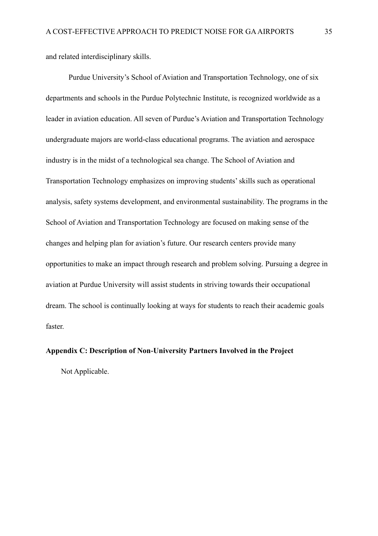and related interdisciplinary skills.

Purdue University's School of Aviation and Transportation Technology, one of six departments and schools in the Purdue Polytechnic Institute, is recognized worldwide as a leader in aviation education. All seven of Purdue's Aviation and Transportation Technology undergraduate majors are world-class educational programs. The aviation and aerospace industry is in the midst of a technological sea change. The School of Aviation and Transportation Technology emphasizes on improving students' skills such as operational analysis, safety systems development, and environmental sustainability. The programs in the School of Aviation and Transportation Technology are focused on making sense of the changes and helping plan for aviation's future. Our research centers provide many opportunities to make an impact through research and problem solving. Pursuing a degree in aviation at Purdue University will assist students in striving towards their occupational dream. The school is continually looking at ways for students to reach their academic goals faster.

### <span id="page-34-0"></span>**Appendix C: Description of Non-University Partners Involved in the Project**

Not Applicable.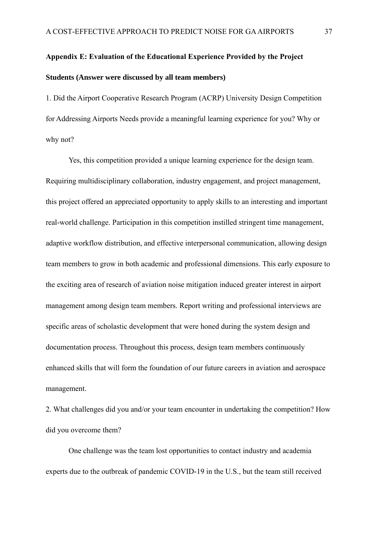# <span id="page-35-0"></span>**Appendix E: Evaluation of the Educational Experience Provided by the Project Students (Answer were discussed by all team members)**

1. Did the Airport Cooperative Research Program (ACRP) University Design Competition for Addressing Airports Needs provide a meaningful learning experience for you? Why or why not?

Yes, this competition provided a unique learning experience for the design team. Requiring multidisciplinary collaboration, industry engagement, and project management, this project offered an appreciated opportunity to apply skills to an interesting and important real-world challenge. Participation in this competition instilled stringent time management, adaptive workflow distribution, and effective interpersonal communication, allowing design team members to grow in both academic and professional dimensions. This early exposure to the exciting area of research of aviation noise mitigation induced greater interest in airport management among design team members. Report writing and professional interviews are specific areas of scholastic development that were honed during the system design and documentation process. Throughout this process, design team members continuously enhanced skills that will form the foundation of our future careers in aviation and aerospace management.

2. What challenges did you and/or your team encounter in undertaking the competition? How did you overcome them?

One challenge was the team lost opportunities to contact industry and academia experts due to the outbreak of pandemic COVID-19 in the U.S., but the team still received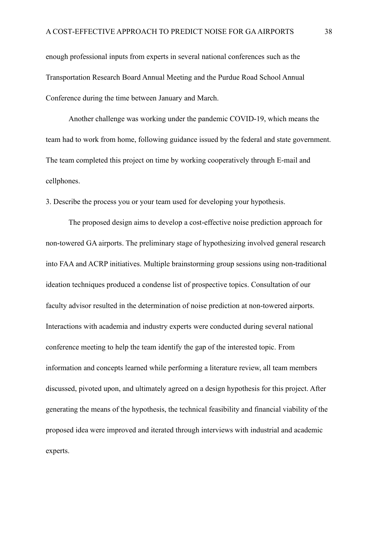enough professional inputs from experts in several national conferences such as the Transportation Research Board Annual Meeting and the Purdue Road School Annual Conference during the time between January and March.

Another challenge was working under the pandemic COVID-19, which means the team had to work from home, following guidance issued by the federal and state government. The team completed this project on time by working cooperatively through E-mail and cellphones.

3. Describe the process you or your team used for developing your hypothesis.

The proposed design aims to develop a cost-effective noise prediction approach for non-towered GA airports. The preliminary stage of hypothesizing involved general research into FAA and ACRP initiatives. Multiple brainstorming group sessions using non-traditional ideation techniques produced a condense list of prospective topics. Consultation of our faculty advisor resulted in the determination of noise prediction at non-towered airports. Interactions with academia and industry experts were conducted during several national conference meeting to help the team identify the gap of the interested topic. From information and concepts learned while performing a literature review, all team members discussed, pivoted upon, and ultimately agreed on a design hypothesis for this project. After generating the means of the hypothesis, the technical feasibility and financial viability of the proposed idea were improved and iterated through interviews with industrial and academic experts.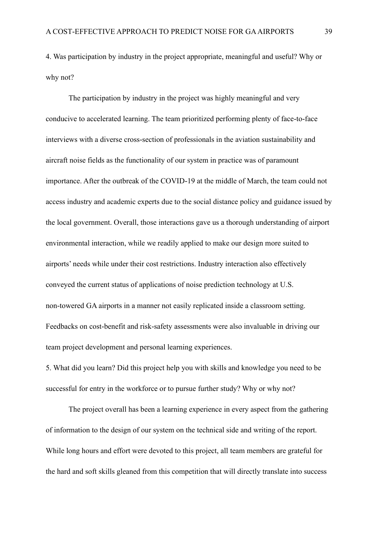4. Was participation by industry in the project appropriate, meaningful and useful? Why or why not?

The participation by industry in the project was highly meaningful and very conducive to accelerated learning. The team prioritized performing plenty of face-to-face interviews with a diverse cross-section of professionals in the aviation sustainability and aircraft noise fields as the functionality of our system in practice was of paramount importance. After the outbreak of the COVID-19 at the middle of March, the team could not access industry and academic experts due to the social distance policy and guidance issued by the local government. Overall, those interactions gave us a thorough understanding of airport environmental interaction, while we readily applied to make our design more suited to airports' needs while under their cost restrictions. Industry interaction also effectively conveyed the current status of applications of noise prediction technology at U.S. non-towered GA airports in a manner not easily replicated inside a classroom setting. Feedbacks on cost-benefit and risk-safety assessments were also invaluable in driving our team project development and personal learning experiences.

5. What did you learn? Did this project help you with skills and knowledge you need to be successful for entry in the workforce or to pursue further study? Why or why not?

The project overall has been a learning experience in every aspect from the gathering of information to the design of our system on the technical side and writing of the report. While long hours and effort were devoted to this project, all team members are grateful for the hard and soft skills gleaned from this competition that will directly translate into success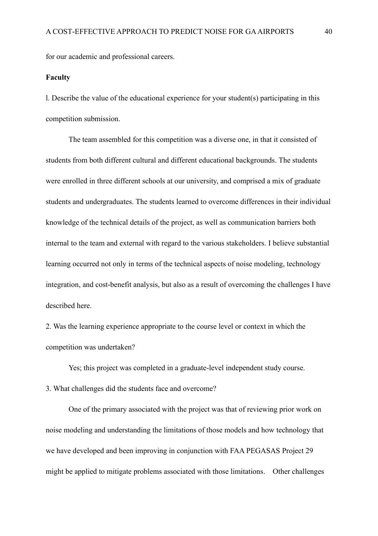for our academic and professional careers.

#### **Faculty**

l. Describe the value of the educational experience for your student(s) participating in this competition submission.

The team assembled for this competition was a diverse one, in that it consisted of students from both different cultural and different educational backgrounds. The students were enrolled in three different schools at our university, and comprised a mix of graduate students and undergraduates. The students learned to overcome differences in their individual knowledge of the technical details of the project, as well as communication barriers both internal to the team and external with regard to the various stakeholders. I believe substantial learning occurred not only in terms of the technical aspects of noise modeling, technology integration, and cost-benefit analysis, but also as a result of overcoming the challenges I have described here.

2. Was the learning experience appropriate to the course level or context in which the competition was undertaken?

Yes; this project was completed in a graduate-level independent study course. 3. What challenges did the students face and overcome?

One of the primary associated with the project was that of reviewing prior work on noise modeling and understanding the limitations of those models and how technology that we have developed and been improving in conjunction with FAA PEGASAS Project 29 might be applied to mitigate problems associated with those limitations. Other challenges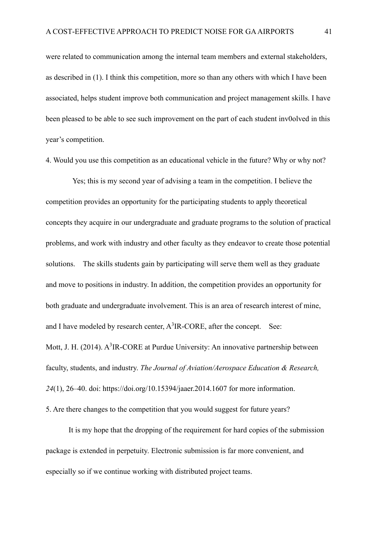were related to communication among the internal team members and external stakeholders, as described in (1). I think this competition, more so than any others with which I have been associated, helps student improve both communication and project management skills. I have been pleased to be able to see such improvement on the part of each student inv0olved in this year's competition.

4. Would you use this competition as an educational vehicle in the future? Why or why not?

Yes; this is my second year of advising a team in the competition. I believe the competition provides an opportunity for the participating students to apply theoretical concepts they acquire in our undergraduate and graduate programs to the solution of practical problems, and work with industry and other faculty as they endeavor to create those potential solutions. The skills students gain by participating will serve them well as they graduate and move to positions in industry. In addition, the competition provides an opportunity for both graduate and undergraduate involvement. This is an area of research interest of mine, and I have modeled by research center,  $A^3IR$ -CORE, after the concept. See: Mott, J. H. (2014).  $A^3IR$ -CORE at Purdue University: An innovative partnership between faculty, students, and industry. *The Journal of Aviation/Aerospace Education & Research, 24*(1), 26–40. doi: https://doi.org/10.15394/jaaer.2014.1607 for more information.

5. Are there changes to the competition that you would suggest for future years?

It is my hope that the dropping of the requirement for hard copies of the submission package is extended in perpetuity. Electronic submission is far more convenient, and especially so if we continue working with distributed project teams.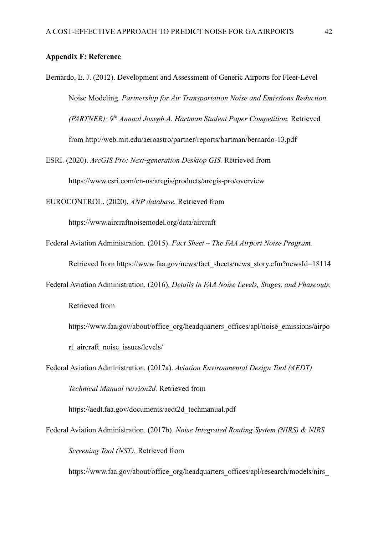# <span id="page-40-0"></span>**Appendix F: Reference**

Bernardo, E. J. (2012). Development and Assessment of Generic Airports for Fleet-Level Noise Modeling. *Partnership for Air Transportation Noise and Emissions Reduction (PARTNER): 9th Annual Joseph A. Hartman Student Paper Competition.* Retrieved from<http://web.mit.edu/aeroastro/partner/reports/hartman/bernardo-13.pdf>

ESRI. (2020). *ArcGIS Pro: Next-generation Desktop GIS.* Retrieved from <https://www.esri.com/en-us/arcgis/products/arcgis-pro/overview>

EUROCONTROL. (2020). *ANP database.* Retrieved from

<https://www.aircraftnoisemodel.org/data/aircraft>

Federal Aviation Administration. (2015). *Fact Sheet – The FAA Airport Noise Program.*

Retrieved from [https://www.faa.gov/news/fact\\_sheets/news\\_story.cfm?newsId=18114](https://www.faa.gov/news/fact_sheets/news_story.cfm?newsId=18114)

- Federal Aviation Administration. (2016). *Details in FAA Noise Levels, Stages, and Phaseouts.* Retrieved from
	- [https://www.faa.gov/about/office\\_org/headquarters\\_offices/apl/noise\\_emissions/airpo](https://www.faa.gov/about/office_org/headquarters_offices/apl/noise_emissions/airport_aircraft_noise_issues/levels/) [rt\\_aircraft\\_noise\\_issues/levels/](https://www.faa.gov/about/office_org/headquarters_offices/apl/noise_emissions/airport_aircraft_noise_issues/levels/)
- Federal Aviation Administration. (2017a). *Aviation Environmental Design Tool (AEDT) Technical Manual version2d.* Retrieved from

[https://aedt.faa.gov/documents/aedt2d\\_techmanual.pdf](https://aedt.faa.gov/documents/aedt2d_techmanual.pdf)

Federal Aviation Administration. (2017b). *Noise Integrated Routing System (NIRS) & NIRS Screening Tool (NST).* Retrieved from

https://www.faa.gov/about/office\_org/headquarters\_offices/apl/research/models/nirs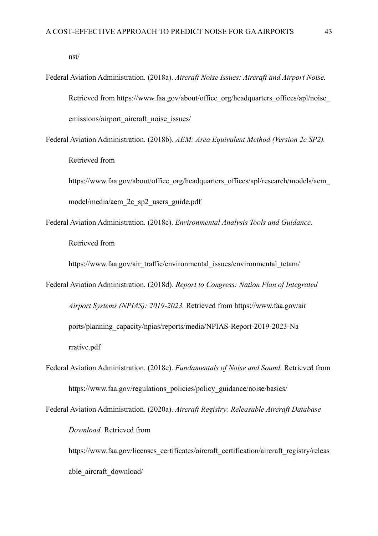[nst/](https://www.faa.gov/about/office_org/headquarters_offices/apl/research/models/nirs_nst/)

Federal Aviation Administration. (2018a). *Aircraft Noise Issues: Aircraft and Airport Noise.* Retrieved from https://www.faa.gov/about/office\_org/headquarters\_offices/apl/noise [emissions/airport\\_aircraft\\_noise\\_issues/](https://www.faa.gov/about/office_org/headquarters_offices/apl/noise_%20emissions/airport_aircraft_noise_issues/)

Federal Aviation Administration. (2018b). *AEM: Area Equivalent Method (Version 2c SP2).* Retrieved from

https://www.faa.gov/about/office\_org/headquarters\_offices/apl/research/models/aem [model/media/aem\\_2c\\_sp2\\_users\\_guide.pdf](https://www.faa.gov/about/office_org/headquarters_offices/apl/research/models/aem_model/media/aem_2c_sp2_users_guide.pdf)

Federal Aviation Administration. (2018c). *Environmental Analysis Tools and Guidance.* Retrieved from

[https://www.faa.gov/air\\_traffic/environmental\\_issues/environmental\\_tetam/](https://www.faa.gov/air_traffic/environmental_issues/environmental_tetam/)

- Federal Aviation Administration. (2018d). *Report to Congress: Nation Plan of Integrated Airport Systems (NPIAS): 2019-2023.* Retrieved from [https://www.faa.gov/air](https://www.faa.gov/air%20ports/planni%20ng_capacity/npias/reports/media/NPIAS-Report-2019-2023-Na%20rrative.pdf)  [ports/planning\\_capacity/npias/reports/media/NPIAS-Report-2019-2023-Na](https://www.faa.gov/air%20ports/planni%20ng_capacity/npias/reports/media/NPIAS-Report-2019-2023-Na%20rrative.pdf)  [rrative.pdf](https://www.faa.gov/air%20ports/planni%20ng_capacity/npias/reports/media/NPIAS-Report-2019-2023-Na%20rrative.pdf)
- Federal Aviation Administration. (2018e). *Fundamentals of Noise and Sound.* Retrieved from [https://www.faa.gov/regulations\\_policies/policy\\_guidance/noise/basics/](https://www.faa.gov/regulations_policies/policy_guidance/noise/basics/)

Federal Aviation Administration. (2020a). *Aircraft Registry: Releasable Aircraft Database Download.* Retrieved from

[https://www.faa.gov/licenses\\_certificates/aircraft\\_certification/aircraft\\_registry/releas](https://www.faa.gov/licenses_certificates/aircraft_certification/aircraft_registry/releasable_aircraft_download/) able aircraft download/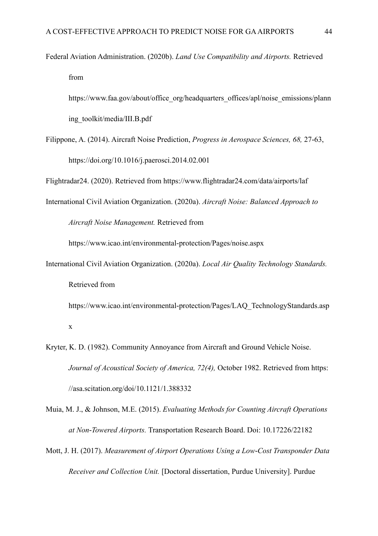Federal Aviation Administration. (2020b). *Land Use Compatibility and Airports.* Retrieved from

[https://www.faa.gov/about/office\\_org/headquarters\\_offices/apl/noise\\_emissions/plann](https://www.faa.gov/about/office_org/headquarters_offices/apl/noise_emissions/planning_toolkit/media/III.B.pdf) [ing\\_toolkit/media/III.B.pdf](https://www.faa.gov/about/office_org/headquarters_offices/apl/noise_emissions/planning_toolkit/media/III.B.pdf)

Filippone, A. (2014). Aircraft Noise Prediction, *Progress in Aerospace Sciences, 68,* 27-63, <https://doi.org/10.1016/j.paerosci.2014.02.001>

Flightradar24. (2020). Retrieved from<https://www.flightradar24.com/data/airports/laf>

International Civil Aviation Organization. (2020a). *Aircraft Noise: Balanced Approach to Aircraft Noise Management.* Retrieved from

https://www.icao.int/environmental-protection/Pages/noise.aspx

International Civil Aviation Organization. (2020a). *Local Air Quality Technology Standards.* Retrieved from

[https://www.icao.int/environmental-protection/Pages/LAQ\\_TechnologyStandards.asp](https://www.icao.int/environmental-protection/Pages/LAQ_TechnologyStandards.aspx) [x](https://www.icao.int/environmental-protection/Pages/LAQ_TechnologyStandards.aspx)

- Kryter, K. D. (1982). Community Annoyance from Aircraft and Ground Vehicle Noise. *Journal of Acoustical Society of America, 72(4),* October 1982. Retrieved from https: //asa.scitation.org/doi/10.1121/1.388332
- Muia, M. J., & Johnson, M.E. (2015). *Evaluating Methods for Counting Aircraft Operations at Non-Towered Airports.* Transportation Research Board. Doi: 10.17226/22182
- Mott, J. H. (2017). *Measurement of Airport Operations Using a Low-Cost Transponder Data Receiver and Collection Unit.* [Doctoral dissertation, Purdue University]. Purdue